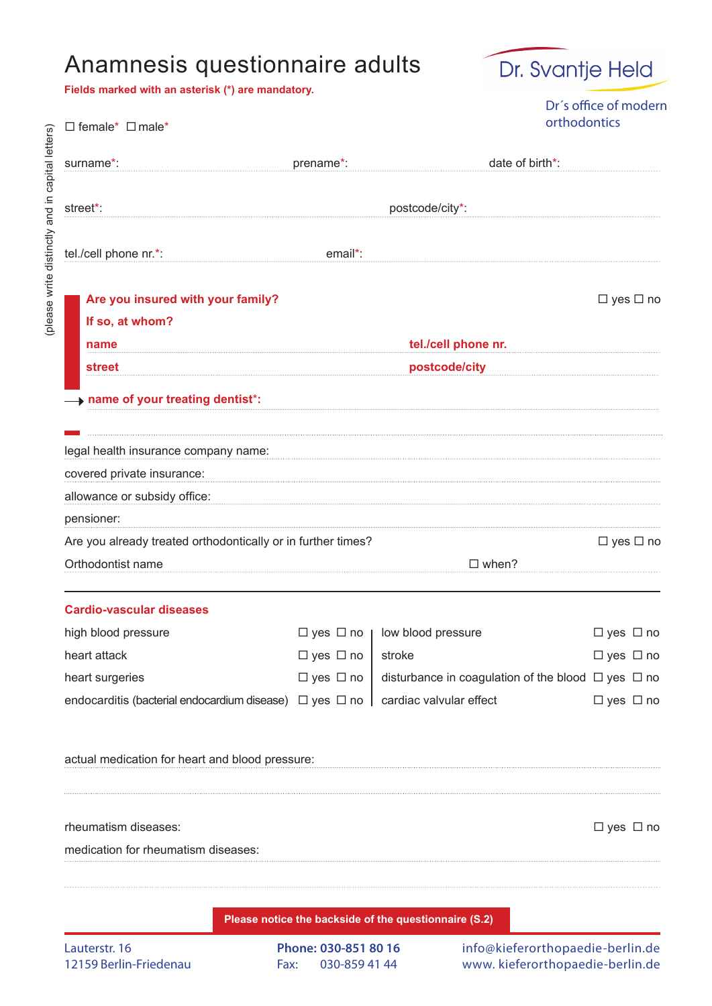## Anamnesis questionnaire adults

**Fields marked with an asterisk (\*) are mandatory.**

 $\square$  female\*  $\square$  male\*

(please write distinctly and in capital letters)

(please write distinctly and in capital letters)



Dr´s office of modern orthodontics

| surname*:                                                                | prename*:                   | date of birth*:                                              |                      |
|--------------------------------------------------------------------------|-----------------------------|--------------------------------------------------------------|----------------------|
| street*:                                                                 | postcode/city*:             |                                                              |                      |
| tel./cell phone nr.*:                                                    | email*:                     |                                                              |                      |
| Are you insured with your family?                                        |                             |                                                              | $\Box$ yes $\Box$ no |
| If so, at whom?                                                          |                             |                                                              |                      |
| name                                                                     | tel./cell phone nr.         |                                                              |                      |
| <b>street</b>                                                            | postcode/city               |                                                              |                      |
| + name of your treating dentist*:                                        |                             |                                                              |                      |
|                                                                          |                             |                                                              |                      |
| legal health insurance company name:                                     |                             |                                                              |                      |
| covered private insurance:                                               |                             |                                                              |                      |
| allowance or subsidy office:                                             |                             |                                                              |                      |
| pensioner:                                                               |                             |                                                              |                      |
| Are you already treated orthodontically or in further times?             |                             |                                                              | $\Box$ yes $\Box$ no |
| Orthodontist name                                                        |                             | $\Box$ when?                                                 |                      |
|                                                                          |                             |                                                              |                      |
| <b>Cardio-vascular diseases</b>                                          |                             |                                                              |                      |
| high blood pressure<br>heart attack                                      | $\Box$ yes $\Box$ no $\Box$ | low blood pressure                                           | $\Box$ yes $\Box$ no |
| heart surgeries                                                          | $\Box$ yes $\Box$ no        | stroke                                                       | $\Box$ yes $\Box$ no |
|                                                                          | $\Box$ yes $\Box$ no        | disturbance in coagulation of the blood $\Box$ yes $\Box$ no |                      |
| endocarditis (bacterial endocardium disease) $\Box$ yes $\Box$ no $\Box$ |                             | cardiac valvular effect                                      | $\Box$ yes $\Box$ no |
| actual medication for heart and blood pressure:                          |                             |                                                              |                      |
|                                                                          |                             |                                                              |                      |
| rheumatism diseases:                                                     |                             |                                                              | $\Box$ yes $\Box$ no |
| medication for rheumatism diseases:                                      |                             |                                                              |                      |
|                                                                          |                             |                                                              |                      |
|                                                                          |                             |                                                              |                      |

**Please notice the backside of the questionnaire (S.2)**

info@kieferorthopaedie-berlin.de www. kieferorthopaedie-berlin.de